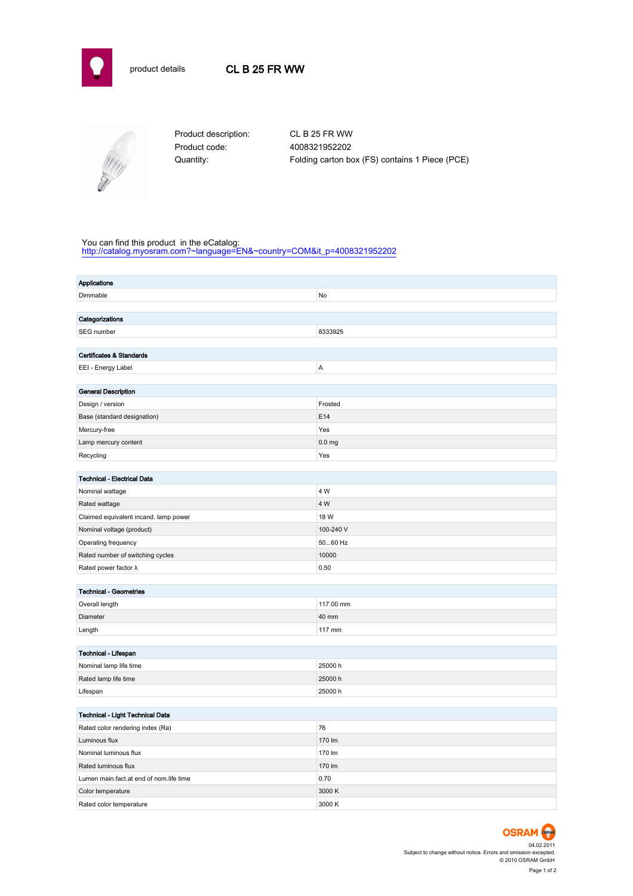



Product code: 4008321952202

Product description: CL B 25 FR WW Quantity: Folding carton box (FS) contains 1 Piece (PCE)

## You can find this product in the eCatalog:

[http://catalog.myosram.com?~language=EN&~country=COM&it\\_p=4008321952202](http://catalog.myosram.com?~language=EN&~country=COM&it_p=4008321952202)

| <b>Applications</b>                     |                   |  |  |  |
|-----------------------------------------|-------------------|--|--|--|
| Dimmable                                | No                |  |  |  |
|                                         |                   |  |  |  |
| Categorizations                         |                   |  |  |  |
| SEG number                              | 8333925           |  |  |  |
|                                         |                   |  |  |  |
| Certificates & Standards                |                   |  |  |  |
| EEI - Energy Label                      | A                 |  |  |  |
|                                         |                   |  |  |  |
| <b>General Description</b>              |                   |  |  |  |
| Design / version                        | Frosted           |  |  |  |
| Base (standard designation)             | E14               |  |  |  |
| Mercury-free                            | Yes               |  |  |  |
| Lamp mercury content                    | 0.0 <sub>mg</sub> |  |  |  |
| Recycling                               | Yes               |  |  |  |
| <b>Technical - Electrical Data</b>      |                   |  |  |  |
|                                         | 4 W               |  |  |  |
| Nominal wattage                         |                   |  |  |  |
| Rated wattage                           | 4 W               |  |  |  |
| Claimed equivalent incand. lamp power   | 18 W              |  |  |  |
| Nominal voltage (product)               | 100-240 V         |  |  |  |
| Operating frequency                     | 5060 Hz           |  |  |  |
| Rated number of switching cycles        | 10000             |  |  |  |
| Rated power factor $\lambda$            | 0.50              |  |  |  |
| <b>Technical - Geometries</b>           |                   |  |  |  |
| Overall length                          | 117.00 mm         |  |  |  |
| Diameter                                | 40 mm             |  |  |  |
| Length                                  | 117 mm            |  |  |  |
|                                         |                   |  |  |  |
| Technical - Lifespan                    |                   |  |  |  |
| Nominal lamp life time                  | 25000 h           |  |  |  |
| Rated lamp life time                    | 25000 h           |  |  |  |
| Lifespan                                | 25000h            |  |  |  |
|                                         |                   |  |  |  |
| Technical - Light Technical Data        |                   |  |  |  |
| Rated color rendering index (Ra)        | 76                |  |  |  |
| Luminous flux                           | 170 lm            |  |  |  |
| Nominal luminous flux                   | 170 lm            |  |  |  |
| Rated luminous flux                     | 170 lm            |  |  |  |
| Lumen main.fact.at end of nom.life time | 0.70              |  |  |  |
| Color temperature                       | 3000 K            |  |  |  |
| Rated color temperature                 | 3000 K            |  |  |  |